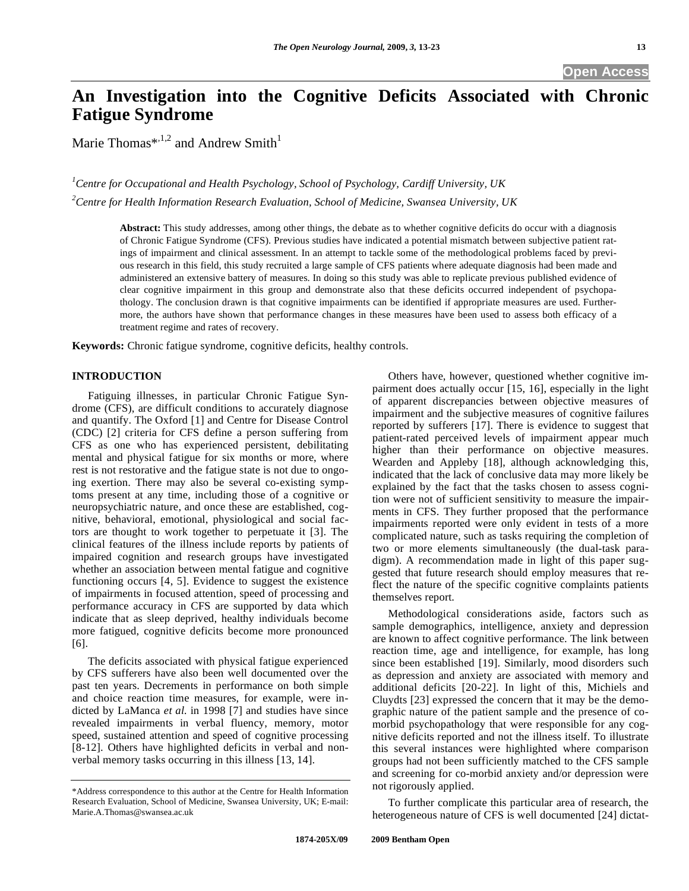# **An Investigation into the Cognitive Deficits Associated with Chronic Fatigue Syndrome**

Marie Thomas\*,<sup>1,2</sup> and Andrew Smith<sup>1</sup>

*1 Centre for Occupational and Health Psychology, School of Psychology, Cardiff University, UK 2 Centre for Health Information Research Evaluation, School of Medicine, Swansea University, UK* 

> **Abstract:** This study addresses, among other things, the debate as to whether cognitive deficits do occur with a diagnosis of Chronic Fatigue Syndrome (CFS). Previous studies have indicated a potential mismatch between subjective patient ratings of impairment and clinical assessment. In an attempt to tackle some of the methodological problems faced by previous research in this field, this study recruited a large sample of CFS patients where adequate diagnosis had been made and administered an extensive battery of measures. In doing so this study was able to replicate previous published evidence of clear cognitive impairment in this group and demonstrate also that these deficits occurred independent of psychopathology. The conclusion drawn is that cognitive impairments can be identified if appropriate measures are used. Furthermore, the authors have shown that performance changes in these measures have been used to assess both efficacy of a treatment regime and rates of recovery.

**Keywords:** Chronic fatigue syndrome, cognitive deficits, healthy controls.

# **INTRODUCTION**

 Fatiguing illnesses, in particular Chronic Fatigue Syndrome (CFS), are difficult conditions to accurately diagnose and quantify. The Oxford [1] and Centre for Disease Control (CDC) [2] criteria for CFS define a person suffering from CFS as one who has experienced persistent, debilitating mental and physical fatigue for six months or more, where rest is not restorative and the fatigue state is not due to ongoing exertion. There may also be several co-existing symptoms present at any time, including those of a cognitive or neuropsychiatric nature, and once these are established, cognitive, behavioral, emotional, physiological and social factors are thought to work together to perpetuate it [3]. The clinical features of the illness include reports by patients of impaired cognition and research groups have investigated whether an association between mental fatigue and cognitive functioning occurs [4, 5]. Evidence to suggest the existence of impairments in focused attention, speed of processing and performance accuracy in CFS are supported by data which indicate that as sleep deprived, healthy individuals become more fatigued, cognitive deficits become more pronounced [6].

 The deficits associated with physical fatigue experienced by CFS sufferers have also been well documented over the past ten years. Decrements in performance on both simple and choice reaction time measures, for example, were indicted by LaManca *et al.* in 1998 [7] and studies have since revealed impairments in verbal fluency, memory, motor speed, sustained attention and speed of cognitive processing [8-12]. Others have highlighted deficits in verbal and nonverbal memory tasks occurring in this illness [13, 14].

 Others have, however, questioned whether cognitive impairment does actually occur [15, 16], especially in the light of apparent discrepancies between objective measures of impairment and the subjective measures of cognitive failures reported by sufferers [17]. There is evidence to suggest that patient-rated perceived levels of impairment appear much higher than their performance on objective measures. Wearden and Appleby [18], although acknowledging this, indicated that the lack of conclusive data may more likely be explained by the fact that the tasks chosen to assess cognition were not of sufficient sensitivity to measure the impairments in CFS. They further proposed that the performance impairments reported were only evident in tests of a more complicated nature, such as tasks requiring the completion of two or more elements simultaneously (the dual-task paradigm). A recommendation made in light of this paper suggested that future research should employ measures that reflect the nature of the specific cognitive complaints patients themselves report.

 Methodological considerations aside, factors such as sample demographics, intelligence, anxiety and depression are known to affect cognitive performance. The link between reaction time, age and intelligence, for example, has long since been established [19]. Similarly, mood disorders such as depression and anxiety are associated with memory and additional deficits [20-22]. In light of this, Michiels and Cluydts [23] expressed the concern that it may be the demographic nature of the patient sample and the presence of comorbid psychopathology that were responsible for any cognitive deficits reported and not the illness itself. To illustrate this several instances were highlighted where comparison groups had not been sufficiently matched to the CFS sample and screening for co-morbid anxiety and/or depression were not rigorously applied.

 To further complicate this particular area of research, the heterogeneous nature of CFS is well documented [24] dictat-

<sup>\*</sup>Address correspondence to this author at the Centre for Health Information Research Evaluation, School of Medicine, Swansea University, UK; E-mail: Marie.A.Thomas@swansea.ac.uk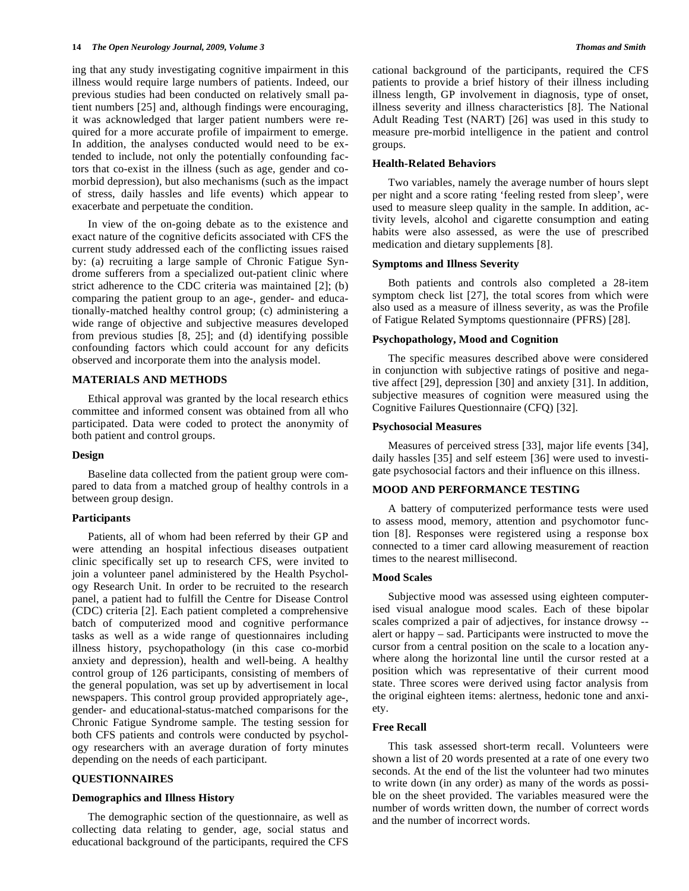ing that any study investigating cognitive impairment in this illness would require large numbers of patients. Indeed, our previous studies had been conducted on relatively small patient numbers [25] and, although findings were encouraging, it was acknowledged that larger patient numbers were required for a more accurate profile of impairment to emerge. In addition, the analyses conducted would need to be extended to include, not only the potentially confounding factors that co-exist in the illness (such as age, gender and comorbid depression), but also mechanisms (such as the impact of stress, daily hassles and life events) which appear to exacerbate and perpetuate the condition.

 In view of the on-going debate as to the existence and exact nature of the cognitive deficits associated with CFS the current study addressed each of the conflicting issues raised by: (a) recruiting a large sample of Chronic Fatigue Syndrome sufferers from a specialized out-patient clinic where strict adherence to the CDC criteria was maintained [2]; (b) comparing the patient group to an age-, gender- and educationally-matched healthy control group; (c) administering a wide range of objective and subjective measures developed from previous studies [8, 25]; and (d) identifying possible confounding factors which could account for any deficits observed and incorporate them into the analysis model.

#### **MATERIALS AND METHODS**

 Ethical approval was granted by the local research ethics committee and informed consent was obtained from all who participated. Data were coded to protect the anonymity of both patient and control groups.

#### **Design**

 Baseline data collected from the patient group were compared to data from a matched group of healthy controls in a between group design.

#### **Participants**

 Patients, all of whom had been referred by their GP and were attending an hospital infectious diseases outpatient clinic specifically set up to research CFS, were invited to join a volunteer panel administered by the Health Psychology Research Unit. In order to be recruited to the research panel, a patient had to fulfill the Centre for Disease Control (CDC) criteria [2]. Each patient completed a comprehensive batch of computerized mood and cognitive performance tasks as well as a wide range of questionnaires including illness history, psychopathology (in this case co-morbid anxiety and depression), health and well-being. A healthy control group of 126 participants, consisting of members of the general population, was set up by advertisement in local newspapers. This control group provided appropriately age-, gender- and educational-status-matched comparisons for the Chronic Fatigue Syndrome sample. The testing session for both CFS patients and controls were conducted by psychology researchers with an average duration of forty minutes depending on the needs of each participant.

#### **QUESTIONNAIRES**

#### **Demographics and Illness History**

 The demographic section of the questionnaire, as well as collecting data relating to gender, age, social status and educational background of the participants, required the CFS cational background of the participants, required the CFS patients to provide a brief history of their illness including illness length, GP involvement in diagnosis, type of onset, illness severity and illness characteristics [8]. The National Adult Reading Test (NART) [26] was used in this study to measure pre-morbid intelligence in the patient and control groups.

#### **Health-Related Behaviors**

 Two variables, namely the average number of hours slept per night and a score rating 'feeling rested from sleep', were used to measure sleep quality in the sample. In addition, activity levels, alcohol and cigarette consumption and eating habits were also assessed, as were the use of prescribed medication and dietary supplements [8].

#### **Symptoms and Illness Severity**

 Both patients and controls also completed a 28-item symptom check list [27], the total scores from which were also used as a measure of illness severity, as was the Profile of Fatigue Related Symptoms questionnaire (PFRS) [28].

#### **Psychopathology, Mood and Cognition**

 The specific measures described above were considered in conjunction with subjective ratings of positive and negative affect [29], depression [30] and anxiety [31]. In addition, subjective measures of cognition were measured using the Cognitive Failures Questionnaire (CFQ) [32].

#### **Psychosocial Measures**

 Measures of perceived stress [33], major life events [34], daily hassles [35] and self esteem [36] were used to investigate psychosocial factors and their influence on this illness.

#### **MOOD AND PERFORMANCE TESTING**

 A battery of computerized performance tests were used to assess mood, memory, attention and psychomotor function [8]. Responses were registered using a response box connected to a timer card allowing measurement of reaction times to the nearest millisecond.

### **Mood Scales**

 Subjective mood was assessed using eighteen computerised visual analogue mood scales. Each of these bipolar scales comprized a pair of adjectives, for instance drowsy - alert or happy – sad. Participants were instructed to move the cursor from a central position on the scale to a location anywhere along the horizontal line until the cursor rested at a position which was representative of their current mood state. Three scores were derived using factor analysis from the original eighteen items: alertness, hedonic tone and anxiety.

#### **Free Recall**

 This task assessed short-term recall. Volunteers were shown a list of 20 words presented at a rate of one every two seconds. At the end of the list the volunteer had two minutes to write down (in any order) as many of the words as possible on the sheet provided. The variables measured were the number of words written down, the number of correct words and the number of incorrect words.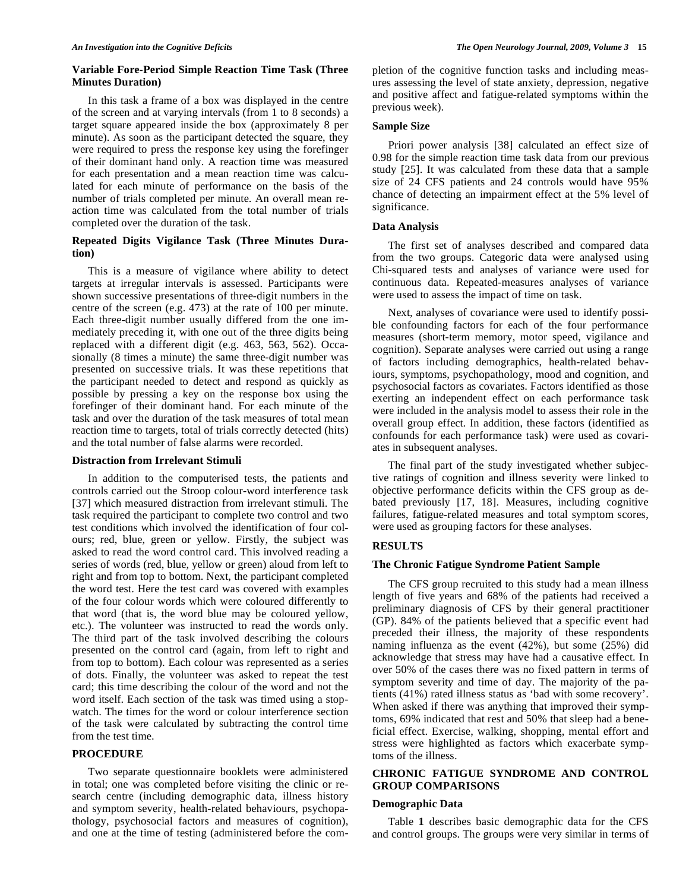#### **Variable Fore-Period Simple Reaction Time Task (Three Minutes Duration)**

 In this task a frame of a box was displayed in the centre of the screen and at varying intervals (from 1 to 8 seconds) a target square appeared inside the box (approximately 8 per minute). As soon as the participant detected the square, they were required to press the response key using the forefinger of their dominant hand only. A reaction time was measured for each presentation and a mean reaction time was calculated for each minute of performance on the basis of the number of trials completed per minute. An overall mean reaction time was calculated from the total number of trials completed over the duration of the task.

# **Repeated Digits Vigilance Task (Three Minutes Duration)**

 This is a measure of vigilance where ability to detect targets at irregular intervals is assessed. Participants were shown successive presentations of three-digit numbers in the centre of the screen (e.g. 473) at the rate of 100 per minute. Each three-digit number usually differed from the one immediately preceding it, with one out of the three digits being replaced with a different digit (e.g. 463, 563, 562). Occasionally (8 times a minute) the same three-digit number was presented on successive trials. It was these repetitions that the participant needed to detect and respond as quickly as possible by pressing a key on the response box using the forefinger of their dominant hand. For each minute of the task and over the duration of the task measures of total mean reaction time to targets, total of trials correctly detected (hits) and the total number of false alarms were recorded.

#### **Distraction from Irrelevant Stimuli**

 In addition to the computerised tests, the patients and controls carried out the Stroop colour-word interference task [37] which measured distraction from irrelevant stimuli. The task required the participant to complete two control and two test conditions which involved the identification of four colours; red, blue, green or yellow. Firstly, the subject was asked to read the word control card. This involved reading a series of words (red, blue, yellow or green) aloud from left to right and from top to bottom. Next, the participant completed the word test. Here the test card was covered with examples of the four colour words which were coloured differently to that word (that is, the word blue may be coloured yellow, etc.). The volunteer was instructed to read the words only. The third part of the task involved describing the colours presented on the control card (again, from left to right and from top to bottom). Each colour was represented as a series of dots. Finally, the volunteer was asked to repeat the test card; this time describing the colour of the word and not the word itself. Each section of the task was timed using a stopwatch. The times for the word or colour interference section of the task were calculated by subtracting the control time from the test time.

#### **PROCEDURE**

 Two separate questionnaire booklets were administered in total; one was completed before visiting the clinic or research centre (including demographic data, illness history and symptom severity, health-related behaviours, psychopathology, psychosocial factors and measures of cognition), and one at the time of testing (administered before the completion of the cognitive function tasks and including measures assessing the level of state anxiety, depression, negative and positive affect and fatigue-related symptoms within the previous week).

#### **Sample Size**

 Priori power analysis [38] calculated an effect size of 0.98 for the simple reaction time task data from our previous study [25]. It was calculated from these data that a sample size of 24 CFS patients and 24 controls would have 95% chance of detecting an impairment effect at the 5% level of significance.

#### **Data Analysis**

 The first set of analyses described and compared data from the two groups. Categoric data were analysed using Chi-squared tests and analyses of variance were used for continuous data. Repeated-measures analyses of variance were used to assess the impact of time on task.

 Next, analyses of covariance were used to identify possible confounding factors for each of the four performance measures (short-term memory, motor speed, vigilance and cognition). Separate analyses were carried out using a range of factors including demographics, health-related behaviours, symptoms, psychopathology, mood and cognition, and psychosocial factors as covariates. Factors identified as those exerting an independent effect on each performance task were included in the analysis model to assess their role in the overall group effect. In addition, these factors (identified as confounds for each performance task) were used as covariates in subsequent analyses.

 The final part of the study investigated whether subjective ratings of cognition and illness severity were linked to objective performance deficits within the CFS group as debated previously [17, 18]. Measures, including cognitive failures, fatigue-related measures and total symptom scores, were used as grouping factors for these analyses.

#### **RESULTS**

#### **The Chronic Fatigue Syndrome Patient Sample**

 The CFS group recruited to this study had a mean illness length of five years and 68% of the patients had received a preliminary diagnosis of CFS by their general practitioner (GP). 84% of the patients believed that a specific event had preceded their illness, the majority of these respondents naming influenza as the event (42%), but some (25%) did acknowledge that stress may have had a causative effect. In over 50% of the cases there was no fixed pattern in terms of symptom severity and time of day. The majority of the patients (41%) rated illness status as 'bad with some recovery'. When asked if there was anything that improved their symptoms, 69% indicated that rest and 50% that sleep had a beneficial effect. Exercise, walking, shopping, mental effort and stress were highlighted as factors which exacerbate symptoms of the illness.

# **CHRONIC FATIGUE SYNDROME AND CONTROL GROUP COMPARISONS**

#### **Demographic Data**

 Table **1** describes basic demographic data for the CFS and control groups. The groups were very similar in terms of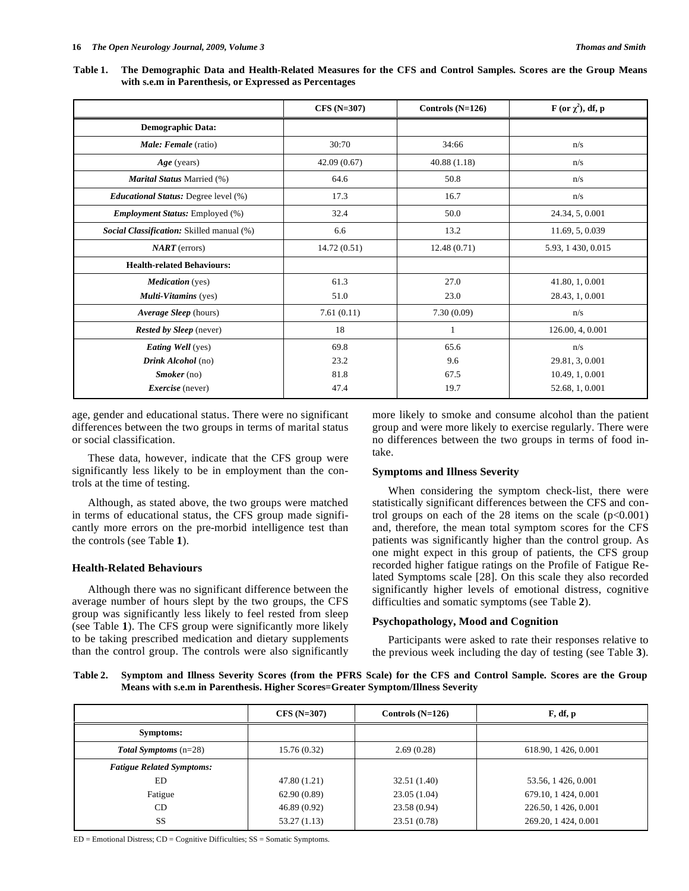**Table 1. The Demographic Data and Health-Related Measures for the CFS and Control Samples. Scores are the Group Means with s.e.m in Parenthesis, or Expressed as Percentages** 

|                                             | $CFS(N=307)$ | Controls $(N=126)$ | F (or $\chi^2$ ), df, p |
|---------------------------------------------|--------------|--------------------|-------------------------|
| <b>Demographic Data:</b>                    |              |                    |                         |
| Male: Female (ratio)                        | 30:70        | 34:66              | n/s                     |
| $Age$ (years)                               | 42.09(0.67)  | 40.88(1.18)        | n/s                     |
| Marital Status Married (%)                  | 64.6         | 50.8               | n/s                     |
| <i>Educational Status: Degree level</i> (%) | 17.3         | 16.7               | n/s                     |
| <b>Employment Status:</b> Employed (%)      | 32.4         | 50.0               | 24.34, 5, 0.001         |
| Social Classification: Skilled manual (%)   | 6.6          | 13.2               | 11.69, 5, 0.039         |
| $NART$ (errors)                             | 14.72(0.51)  | 12.48(0.71)        | 5.93, 1 430, 0.015      |
| <b>Health-related Behaviours:</b>           |              |                    |                         |
| <b>Medication</b> (yes)                     | 61.3         | 27.0               | 41.80, 1, 0.001         |
| Multi-Vitamins (yes)                        | 51.0         | 23.0               | 28.43, 1, 0.001         |
| Average Sleep (hours)                       | 7.61(0.11)   | 7.30(0.09)         | n/s                     |
| <b>Rested by Sleep</b> (never)              | 18           | 1                  | 126.00, 4, 0.001        |
| <b>Eating Well</b> (yes)                    | 69.8         | 65.6               | n/s                     |
| Drink Alcohol (no)                          | 23.2         | 9.6                | 29.81, 3, 0.001         |
| $Smoker$ (no)                               | 81.8         | 67.5               | 10.49, 1, 0.001         |
| <i>Exercise</i> (never)                     | 47.4         | 19.7               | 52.68, 1, 0.001         |

age, gender and educational status. There were no significant differences between the two groups in terms of marital status or social classification.

 These data, however, indicate that the CFS group were significantly less likely to be in employment than the controls at the time of testing.

 Although, as stated above, the two groups were matched in terms of educational status, the CFS group made significantly more errors on the pre-morbid intelligence test than the controls (see Table **1**).

#### **Health-Related Behaviours**

 Although there was no significant difference between the average number of hours slept by the two groups, the CFS group was significantly less likely to feel rested from sleep (see Table **1**). The CFS group were significantly more likely to be taking prescribed medication and dietary supplements than the control group. The controls were also significantly more likely to smoke and consume alcohol than the patient group and were more likely to exercise regularly. There were no differences between the two groups in terms of food intake.

#### **Symptoms and Illness Severity**

 When considering the symptom check-list, there were statistically significant differences between the CFS and control groups on each of the 28 items on the scale  $(p<0.001)$ and, therefore, the mean total symptom scores for the CFS patients was significantly higher than the control group. As one might expect in this group of patients, the CFS group recorded higher fatigue ratings on the Profile of Fatigue Related Symptoms scale [28]. On this scale they also recorded significantly higher levels of emotional distress, cognitive difficulties and somatic symptoms (see Table **2**).

#### **Psychopathology, Mood and Cognition**

 Participants were asked to rate their responses relative to the previous week including the day of testing (see Table **3**).

**Table 2. Symptom and Illness Severity Scores (from the PFRS Scale) for the CFS and Control Sample. Scores are the Group Means with s.e.m in Parenthesis. Higher Scores=Greater Symptom/Illness Severity** 

|                                  | $CFS(N=307)$ | Controls $(N=126)$ | F, df, p             |
|----------------------------------|--------------|--------------------|----------------------|
| Symptoms:                        |              |                    |                      |
| <b>Total Symptoms</b> $(n=28)$   | 15.76 (0.32) | 2.69(0.28)         | 618.90, 1426, 0.001  |
| <b>Fatigue Related Symptoms:</b> |              |                    |                      |
| ED                               | 47.80 (1.21) | 32.51 (1.40)       | 53.56, 1426, 0.001   |
| Fatigue                          | 62.90(0.89)  | 23.05(1.04)        | 679.10, 1 424, 0.001 |
| CD.                              | 46.89(0.92)  | 23.58 (0.94)       | 226.50, 1 426, 0.001 |
| <b>SS</b>                        | 53.27 (1.13) | 23.51 (0.78)       | 269.20, 1 424, 0.001 |

ED = Emotional Distress; CD = Cognitive Difficulties; SS = Somatic Symptoms.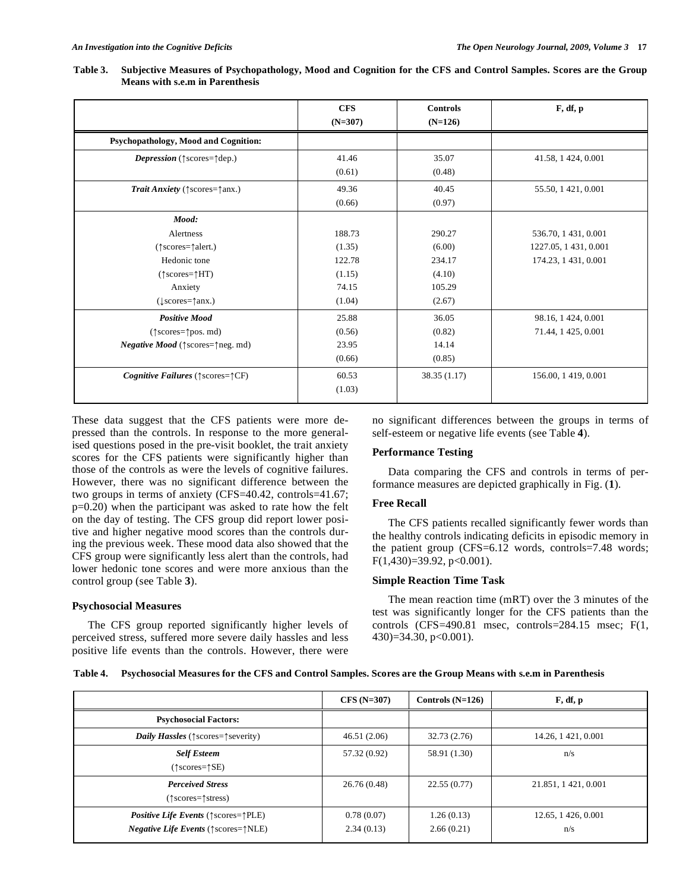|                                                               | <b>CFS</b><br>$(N=307)$ | <b>Controls</b><br>$(N=126)$ | F, df, p             |
|---------------------------------------------------------------|-------------------------|------------------------------|----------------------|
| Psychopathology, Mood and Cognition:                          |                         |                              |                      |
| <i>Depression</i> ( $\uparrow$ scores= $\uparrow$ dep.)       | 41.46                   | 35.07                        | 41.58, 1 424, 0.001  |
|                                                               | (0.61)                  | (0.48)                       |                      |
| <i>Trait Anxiety</i> ( $\uparrow$ scores= $\uparrow$ anx.)    | 49.36                   | 40.45                        | 55.50, 1 421, 0.001  |
|                                                               | (0.66)                  | (0.97)                       |                      |
| Mood:                                                         |                         |                              |                      |
| Alertness                                                     | 188.73                  | 290.27                       | 536.70, 1 431, 0.001 |
| (^) scores=^(^alert.)                                         | (1.35)                  | (6.00)                       | 1227.05, 1431, 0.001 |
| Hedonic tone                                                  | 122.78                  | 234.17                       | 174.23, 1 431, 0.001 |
| $(\uparrow \text{scores} = \uparrow \text{HT})$               | (1.15)                  | (4.10)                       |                      |
| Anxiety                                                       | 74.15                   | 105.29                       |                      |
| $(lscores = \uparrow$ anx.)                                   | (1.04)                  | (2.67)                       |                      |
| <b>Positive Mood</b>                                          | 25.88                   | 36.05                        | 98.16, 1 424, 0.001  |
| $(\uparrow \text{scores} = \uparrow \text{pos. md})$          | (0.56)                  | (0.82)                       | 71.44, 1 425, 0.001  |
| <i>Negative Mood</i> ( $\uparrow$ scores= $\uparrow$ neg. md) | 23.95                   | 14.14                        |                      |
|                                                               | (0.66)                  | (0.85)                       |                      |
| <i>Cognitive Failures</i> ( $\uparrow$ scores= $\uparrow$ CF) | 60.53                   | 38.35 (1.17)                 | 156.00, 1419, 0.001  |
|                                                               | (1.03)                  |                              |                      |

**Table 3. Subjective Measures of Psychopathology, Mood and Cognition for the CFS and Control Samples. Scores are the Group Means with s.e.m in Parenthesis** 

These data suggest that the CFS patients were more depressed than the controls. In response to the more generalised questions posed in the pre-visit booklet, the trait anxiety scores for the CFS patients were significantly higher than those of the controls as were the levels of cognitive failures. However, there was no significant difference between the two groups in terms of anxiety (CFS=40.42, controls=41.67; p=0.20) when the participant was asked to rate how the felt on the day of testing. The CFS group did report lower positive and higher negative mood scores than the controls during the previous week. These mood data also showed that the CFS group were significantly less alert than the controls, had lower hedonic tone scores and were more anxious than the control group (see Table **3**).

#### **Psychosocial Measures**

 The CFS group reported significantly higher levels of perceived stress, suffered more severe daily hassles and less positive life events than the controls. However, there were

no significant differences between the groups in terms of self-esteem or negative life events (see Table **4**).

### **Performance Testing**

 Data comparing the CFS and controls in terms of performance measures are depicted graphically in Fig. (**1**).

#### **Free Recall**

 The CFS patients recalled significantly fewer words than the healthy controls indicating deficits in episodic memory in the patient group (CFS=6.12 words, controls=7.48 words;  $F(1,430)=39.92, p<0.001$ ).

#### **Simple Reaction Time Task**

 The mean reaction time (mRT) over the 3 minutes of the test was significantly longer for the CFS patients than the controls (CFS=490.81 msec, controls=284.15 msec; F(1, 430)=34.30, p<0.001).

| Table 4. Psychosocial Measures for the CFS and Control Samples. Scores are the Group Means with s.e.m in Parenthesis |  |  |
|----------------------------------------------------------------------------------------------------------------------|--|--|
|                                                                                                                      |  |  |

|                                                                                                                                      | $CFS(N=307)$             | Controls $(N=126)$       | F, df, p                  |
|--------------------------------------------------------------------------------------------------------------------------------------|--------------------------|--------------------------|---------------------------|
| <b>Psychosocial Factors:</b>                                                                                                         |                          |                          |                           |
| <i>Daily Hassles</i> ( $\uparrow$ scores= $\uparrow$ severity)                                                                       | 46.51(2.06)              | 32.73(2.76)              | 14.26, 1421, 0.001        |
| <b>Self Esteem</b><br>$(\uparrow \text{scores} = \uparrow \text{SE})$                                                                | 57.32 (0.92)             | 58.91 (1.30)             | n/s                       |
| <b>Perceived Stress</b><br>$(\uparrow$ scores= $\uparrow$ stress)                                                                    | 26.76(0.48)              | 22.55(0.77)              | 21.851, 1421, 0.001       |
| <i>Positive Life Events</i> ( $\uparrow$ scores= $\uparrow$ PLE)<br><i>Negative Life Events</i> ( $\uparrow$ scores= $\uparrow$ NLE) | 0.78(0.07)<br>2.34(0.13) | 1.26(0.13)<br>2.66(0.21) | 12.65, 1426, 0.001<br>n/s |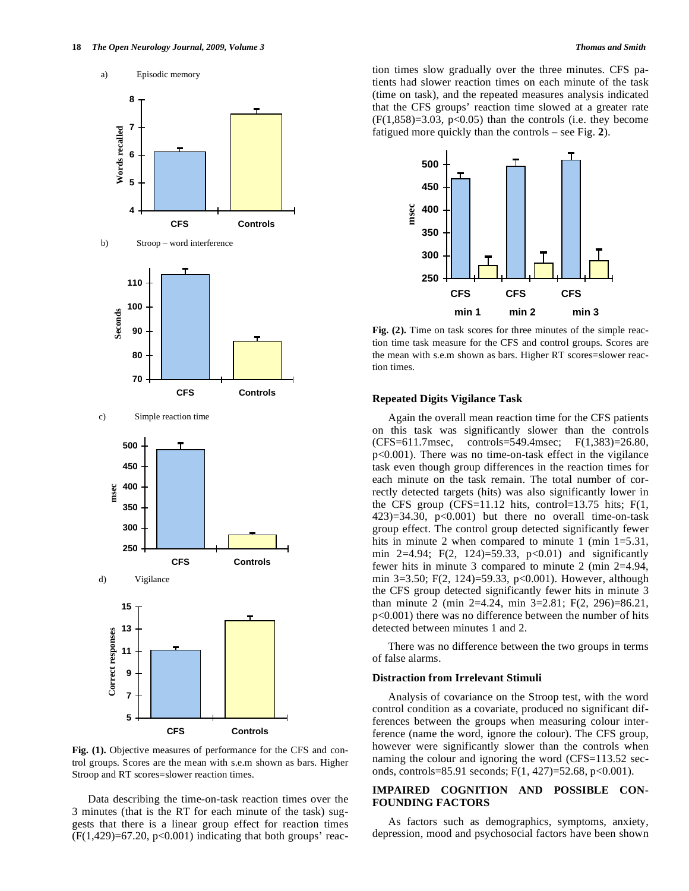

**Fig. (1).** Objective measures of performance for the CFS and control groups. Scores are the mean with s.e.m shown as bars. Higher Stroop and RT scores=slower reaction times.

 Data describing the time-on-task reaction times over the 3 minutes (that is the RT for each minute of the task) suggests that there is a linear group effect for reaction times  $(F(1,429)=67.20, p<0.001)$  indicating that both groups' reaction times slow gradually over the three minutes. CFS patients had slower reaction times on each minute of the task (time on task), and the repeated measures analysis indicated that the CFS groups' reaction time slowed at a greater rate  $(F(1,858)=3.03, p<0.05)$  than the controls (i.e. they become fatigued more quickly than the controls – see Fig. **2**).



Fig. (2). Time on task scores for three minutes of the simple reaction time task measure for the CFS and control groups. Scores are the mean with s.e.m shown as bars. Higher RT scores=slower reaction times.

#### **Repeated Digits Vigilance Task**

 Again the overall mean reaction time for the CFS patients on this task was significantly slower than the controls (CFS=611.7msec, controls=549.4msec; F(1,383)=26.80, p<0.001). There was no time-on-task effect in the vigilance task even though group differences in the reaction times for each minute on the task remain. The total number of correctly detected targets (hits) was also significantly lower in the CFS group (CFS=11.12 hits, control=13.75 hits;  $F(1, 1)$  $(423)=34.30$ ,  $p<0.001$ ) but there no overall time-on-task group effect. The control group detected significantly fewer hits in minute 2 when compared to minute 1 (min 1=5.31, min 2=4.94; F(2, 124)=59.33,  $p<0.01$  and significantly fewer hits in minute 3 compared to minute 2 (min 2=4.94, min 3=3.50; F(2, 124)=59.33, p<0.001). However, although the CFS group detected significantly fewer hits in minute 3 than minute 2 (min 2=4.24, min 3=2.81; F(2, 296)=86.21, p<0.001) there was no difference between the number of hits detected between minutes 1 and 2.

 There was no difference between the two groups in terms of false alarms.

#### **Distraction from Irrelevant Stimuli**

 Analysis of covariance on the Stroop test, with the word control condition as a covariate, produced no significant differences between the groups when measuring colour interference (name the word, ignore the colour). The CFS group, however were significantly slower than the controls when naming the colour and ignoring the word (CFS=113.52 seconds, controls=85.91 seconds;  $F(1, 427) = 52.68$ ,  $p < 0.001$ ).

## **IMPAIRED COGNITION AND POSSIBLE CON-FOUNDING FACTORS**

 As factors such as demographics, symptoms, anxiety, depression, mood and psychosocial factors have been shown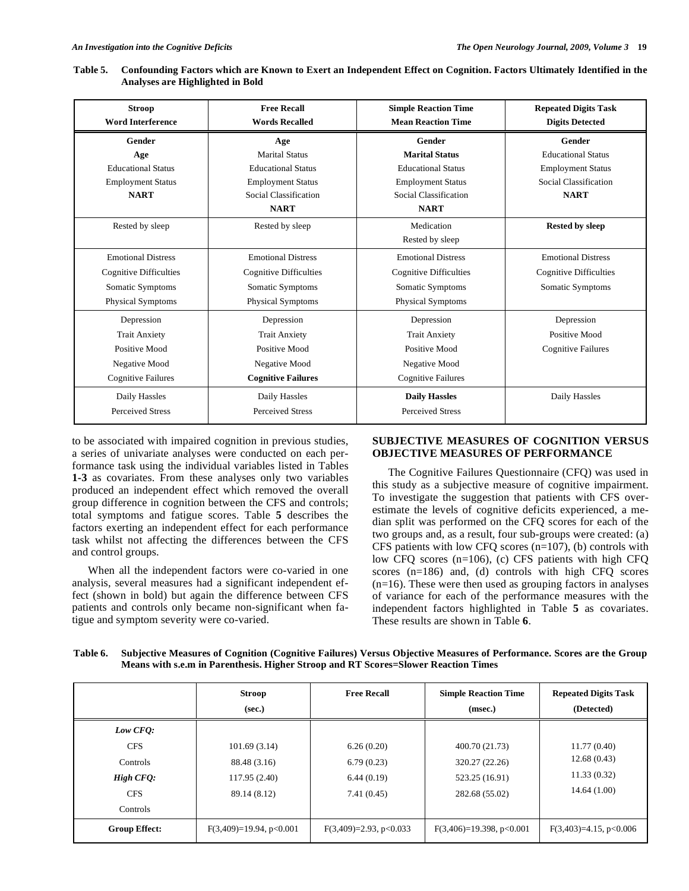| <b>Stroop</b><br><b>Word Interference</b> | <b>Free Recall</b><br><b>Words Recalled</b> | <b>Simple Reaction Time</b><br><b>Mean Reaction Time</b> | <b>Repeated Digits Task</b><br><b>Digits Detected</b> |
|-------------------------------------------|---------------------------------------------|----------------------------------------------------------|-------------------------------------------------------|
| Gender                                    | Age                                         | Gender                                                   | Gender                                                |
| Age                                       | <b>Marital Status</b>                       | <b>Marital Status</b>                                    | <b>Educational Status</b>                             |
| <b>Educational Status</b>                 | <b>Educational Status</b>                   | <b>Educational Status</b>                                | <b>Employment Status</b>                              |
| <b>Employment Status</b>                  | <b>Employment Status</b>                    | <b>Employment Status</b>                                 | Social Classification                                 |
| <b>NART</b>                               | Social Classification                       | Social Classification                                    | <b>NART</b>                                           |
|                                           | <b>NART</b>                                 | <b>NART</b>                                              |                                                       |
| Rested by sleep                           | Rested by sleep                             | Medication                                               | <b>Rested by sleep</b>                                |
|                                           |                                             | Rested by sleep                                          |                                                       |
| <b>Emotional Distress</b>                 | <b>Emotional Distress</b>                   | <b>Emotional Distress</b>                                | <b>Emotional Distress</b>                             |
| Cognitive Difficulties                    | <b>Cognitive Difficulties</b>               | <b>Cognitive Difficulties</b>                            | <b>Cognitive Difficulties</b>                         |
| Somatic Symptoms                          | Somatic Symptoms                            | Somatic Symptoms                                         | Somatic Symptoms                                      |
| <b>Physical Symptoms</b>                  | <b>Physical Symptoms</b>                    | <b>Physical Symptoms</b>                                 |                                                       |
| Depression                                | Depression                                  | Depression                                               | Depression                                            |
| <b>Trait Anxiety</b>                      | <b>Trait Anxiety</b>                        | <b>Trait Anxiety</b>                                     | Positive Mood                                         |
| Positive Mood                             | Positive Mood                               | Positive Mood                                            | <b>Cognitive Failures</b>                             |
| Negative Mood                             | Negative Mood                               | Negative Mood                                            |                                                       |
| <b>Cognitive Failures</b>                 | <b>Cognitive Failures</b>                   | <b>Cognitive Failures</b>                                |                                                       |
| Daily Hassles                             | Daily Hassles                               | <b>Daily Hassles</b>                                     | Daily Hassles                                         |
| <b>Perceived Stress</b>                   | <b>Perceived Stress</b>                     | <b>Perceived Stress</b>                                  |                                                       |

**Table 5. Confounding Factors which are Known to Exert an Independent Effect on Cognition. Factors Ultimately Identified in the Analyses are Highlighted in Bold** 

to be associated with impaired cognition in previous studies, a series of univariate analyses were conducted on each performance task using the individual variables listed in Tables **1-3** as covariates. From these analyses only two variables produced an independent effect which removed the overall group difference in cognition between the CFS and controls; total symptoms and fatigue scores. Table **5** describes the factors exerting an independent effect for each performance task whilst not affecting the differences between the CFS and control groups.

 When all the independent factors were co-varied in one analysis, several measures had a significant independent effect (shown in bold) but again the difference between CFS patients and controls only became non-significant when fatigue and symptom severity were co-varied.

# **SUBJECTIVE MEASURES OF COGNITION VERSUS OBJECTIVE MEASURES OF PERFORMANCE**

 The Cognitive Failures Questionnaire (CFQ) was used in this study as a subjective measure of cognitive impairment. To investigate the suggestion that patients with CFS overestimate the levels of cognitive deficits experienced, a median split was performed on the CFQ scores for each of the two groups and, as a result, four sub-groups were created: (a) CFS patients with low CFQ scores  $(n=107)$ , (b) controls with low CFQ scores (n=106), (c) CFS patients with high CFQ scores (n=186) and, (d) controls with high CFQ scores  $(n=16)$ . These were then used as grouping factors in analyses of variance for each of the performance measures with the independent factors highlighted in Table **5** as covariates. These results are shown in Table **6**.

**Table 6. Subjective Measures of Cognition (Cognitive Failures) Versus Objective Measures of Performance. Scores are the Group Means with s.e.m in Parenthesis. Higher Stroop and RT Scores=Slower Reaction Times** 

|                      | <b>Stroop</b><br>(sec.)    | <b>Free Recall</b>       | <b>Simple Reaction Time</b><br>(msec.) | <b>Repeated Digits Task</b><br>(Detected) |
|----------------------|----------------------------|--------------------------|----------------------------------------|-------------------------------------------|
| Low CFQ:             |                            |                          |                                        |                                           |
| <b>CFS</b>           | 101.69(3.14)               | 6.26(0.20)               | 400.70 (21.73)                         | 11.77(0.40)                               |
| <b>Controls</b>      | 88.48 (3.16)               | 6.79(0.23)               | 320.27 (22.26)                         | 12.68(0.43)                               |
| High CFO:            | 117.95 (2.40)              | 6.44(0.19)               | 523.25 (16.91)                         | 11.33(0.32)                               |
| <b>CFS</b>           | 89.14 (8.12)               | 7.41(0.45)               | 282.68 (55.02)                         | 14.64(1.00)                               |
| <b>Controls</b>      |                            |                          |                                        |                                           |
| <b>Group Effect:</b> | $F(3,409)=19.94$ , p<0.001 | $F(3,409)=2.93, p<0.033$ | $F(3,406)=19.398, p<0.001$             | $F(3,403)=4.15$ , p<0.006                 |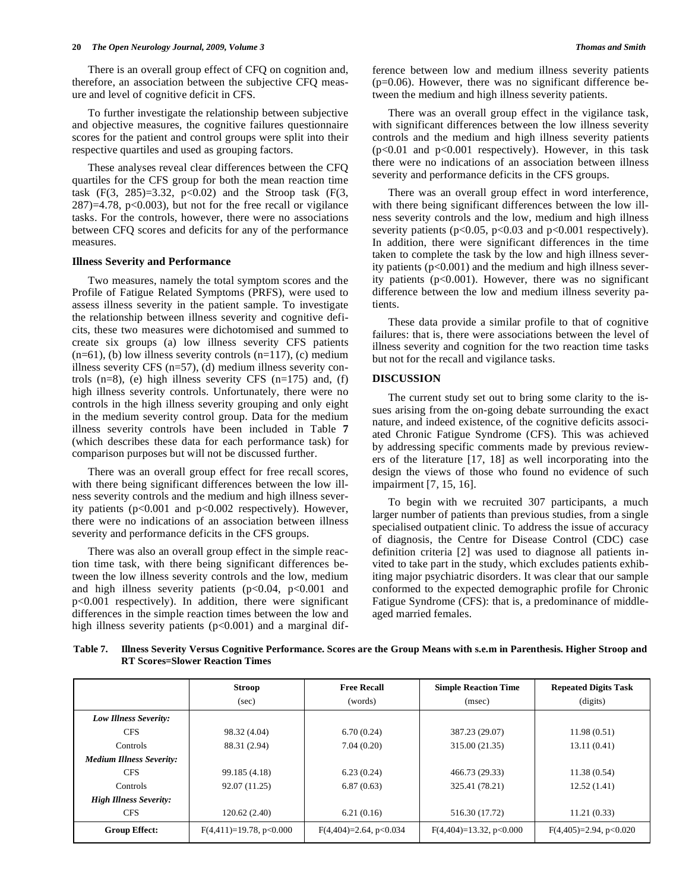#### **20** *The Open Neurology Journal, 2009, Volume 3 Thomas and Smith*

 There is an overall group effect of CFQ on cognition and, therefore, an association between the subjective CFQ measure and level of cognitive deficit in CFS.

 To further investigate the relationship between subjective and objective measures, the cognitive failures questionnaire scores for the patient and control groups were split into their respective quartiles and used as grouping factors.

 These analyses reveal clear differences between the CFQ quartiles for the CFS group for both the mean reaction time task  $(F(3, 285)=3.32, p<0.02)$  and the Stroop task  $(F(3, 285))=3.32, p<0.02)$  $287$ )=4.78, p<0.003), but not for the free recall or vigilance tasks. For the controls, however, there were no associations between CFQ scores and deficits for any of the performance measures.

#### **Illness Severity and Performance**

 Two measures, namely the total symptom scores and the Profile of Fatigue Related Symptoms (PRFS), were used to assess illness severity in the patient sample. To investigate the relationship between illness severity and cognitive deficits, these two measures were dichotomised and summed to create six groups (a) low illness severity CFS patients  $(n=61)$ , (b) low illness severity controls  $(n=117)$ , (c) medium illness severity CFS (n=57), (d) medium illness severity controls  $(n=8)$ , (e) high illness severity CFS  $(n=175)$  and,  $(f)$ high illness severity controls. Unfortunately, there were no controls in the high illness severity grouping and only eight in the medium severity control group. Data for the medium illness severity controls have been included in Table **7** (which describes these data for each performance task) for comparison purposes but will not be discussed further.

 There was an overall group effect for free recall scores, with there being significant differences between the low illness severity controls and the medium and high illness severity patients (p<0.001 and p<0.002 respectively). However, there were no indications of an association between illness severity and performance deficits in the CFS groups.

 There was also an overall group effect in the simple reaction time task, with there being significant differences between the low illness severity controls and the low, medium and high illness severity patients (p<0.04, p<0.001 and p<0.001 respectively). In addition, there were significant differences in the simple reaction times between the low and high illness severity patients (p<0.001) and a marginal difference between low and medium illness severity patients  $(p=0.06)$ . However, there was no significant difference between the medium and high illness severity patients.

 There was an overall group effect in the vigilance task, with significant differences between the low illness severity controls and the medium and high illness severity patients  $(p<0.01$  and  $p<0.001$  respectively). However, in this task there were no indications of an association between illness severity and performance deficits in the CFS groups.

 There was an overall group effect in word interference, with there being significant differences between the low illness severity controls and the low, medium and high illness severity patients ( $p<0.05$ ,  $p<0.03$  and  $p<0.001$  respectively). In addition, there were significant differences in the time taken to complete the task by the low and high illness severity patients  $(p<0.001)$  and the medium and high illness severity patients (p<0.001). However, there was no significant difference between the low and medium illness severity patients.

 These data provide a similar profile to that of cognitive failures: that is, there were associations between the level of illness severity and cognition for the two reaction time tasks but not for the recall and vigilance tasks.

#### **DISCUSSION**

 The current study set out to bring some clarity to the issues arising from the on-going debate surrounding the exact nature, and indeed existence, of the cognitive deficits associated Chronic Fatigue Syndrome (CFS). This was achieved by addressing specific comments made by previous reviewers of the literature [17, 18] as well incorporating into the design the views of those who found no evidence of such impairment [7, 15, 16].

 To begin with we recruited 307 participants, a much larger number of patients than previous studies, from a single specialised outpatient clinic. To address the issue of accuracy of diagnosis, the Centre for Disease Control (CDC) case definition criteria [2] was used to diagnose all patients invited to take part in the study, which excludes patients exhibiting major psychiatric disorders. It was clear that our sample conformed to the expected demographic profile for Chronic Fatigue Syndrome (CFS): that is, a predominance of middleaged married females.

**Table 7. Illness Severity Versus Cognitive Performance. Scores are the Group Means with s.e.m in Parenthesis. Higher Stroop and RT Scores=Slower Reaction Times** 

|                                 | <b>Stroop</b>             | <b>Free Recall</b>        | <b>Simple Reaction Time</b> | <b>Repeated Digits Task</b> |
|---------------------------------|---------------------------|---------------------------|-----------------------------|-----------------------------|
|                                 | (sec)                     | (words)                   | (msec)                      | (digits)                    |
| Low Illness Severity:           |                           |                           |                             |                             |
| <b>CFS</b>                      | 98.32 (4.04)              | 6.70(0.24)                | 387.23 (29.07)              | 11.98(0.51)                 |
| <b>Controls</b>                 | 88.31 (2.94)              | 7.04(0.20)                | 315.00 (21.35)              | 13.11(0.41)                 |
| <b>Medium Illness Severity:</b> |                           |                           |                             |                             |
| <b>CFS</b>                      | 99.185 (4.18)             | 6.23(0.24)                | 466.73 (29.33)              | 11.38(0.54)                 |
| <b>Controls</b>                 | 92.07 (11.25)             | 6.87(0.63)                | 325.41 (78.21)              | 12.52(1.41)                 |
| <b>High Illness Severity:</b>   |                           |                           |                             |                             |
| <b>CFS</b>                      | 120.62 (2.40)             | 6.21(0.16)                | 516.30 (17.72)              | 11.21(0.33)                 |
| <b>Group Effect:</b>            | $F(4,411)=19.78, p<0.000$ | $F(4,404)=2.64$ , p<0.034 | $F(4,404)=13.32, p<0.000$   | $F(4,405)=2.94, p<0.020$    |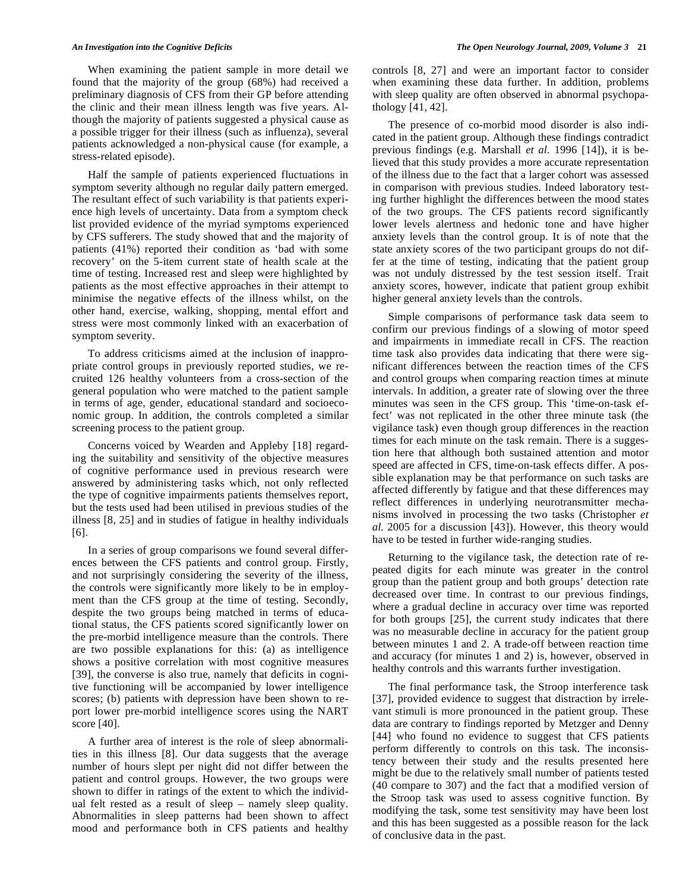When examining the patient sample in more detail we found that the majority of the group (68%) had received a preliminary diagnosis of CFS from their GP before attending the clinic and their mean illness length was five years. Although the majority of patients suggested a physical cause as a possible trigger for their illness (such as influenza), several patients acknowledged a non-physical cause (for example, a stress-related episode).

 Half the sample of patients experienced fluctuations in symptom severity although no regular daily pattern emerged. The resultant effect of such variability is that patients experience high levels of uncertainty. Data from a symptom check list provided evidence of the myriad symptoms experienced by CFS sufferers. The study showed that and the majority of patients (41%) reported their condition as 'bad with some recovery' on the 5-item current state of health scale at the time of testing. Increased rest and sleep were highlighted by patients as the most effective approaches in their attempt to minimise the negative effects of the illness whilst, on the other hand, exercise, walking, shopping, mental effort and stress were most commonly linked with an exacerbation of symptom severity.

 To address criticisms aimed at the inclusion of inappropriate control groups in previously reported studies, we recruited 126 healthy volunteers from a cross-section of the general population who were matched to the patient sample in terms of age, gender, educational standard and socioeconomic group. In addition, the controls completed a similar screening process to the patient group.

 Concerns voiced by Wearden and Appleby [18] regarding the suitability and sensitivity of the objective measures of cognitive performance used in previous research were answered by administering tasks which, not only reflected the type of cognitive impairments patients themselves report, but the tests used had been utilised in previous studies of the illness [8, 25] and in studies of fatigue in healthy individuals [6].

 In a series of group comparisons we found several differences between the CFS patients and control group. Firstly, and not surprisingly considering the severity of the illness, the controls were significantly more likely to be in employment than the CFS group at the time of testing. Secondly, despite the two groups being matched in terms of educational status, the CFS patients scored significantly lower on the pre-morbid intelligence measure than the controls. There are two possible explanations for this: (a) as intelligence shows a positive correlation with most cognitive measures [39], the converse is also true, namely that deficits in cognitive functioning will be accompanied by lower intelligence scores; (b) patients with depression have been shown to report lower pre-morbid intelligence scores using the NART score [40].

 A further area of interest is the role of sleep abnormalities in this illness [8]. Our data suggests that the average number of hours slept per night did not differ between the patient and control groups. However, the two groups were shown to differ in ratings of the extent to which the individual felt rested as a result of sleep – namely sleep quality. Abnormalities in sleep patterns had been shown to affect mood and performance both in CFS patients and healthy controls [8, 27] and were an important factor to consider when examining these data further. In addition, problems with sleep quality are often observed in abnormal psychopathology [41, 42].

 The presence of co-morbid mood disorder is also indicated in the patient group. Although these findings contradict previous findings (e.g. Marshall *et al.* 1996 [14]), it is believed that this study provides a more accurate representation of the illness due to the fact that a larger cohort was assessed in comparison with previous studies. Indeed laboratory testing further highlight the differences between the mood states of the two groups. The CFS patients record significantly lower levels alertness and hedonic tone and have higher anxiety levels than the control group. It is of note that the state anxiety scores of the two participant groups do not differ at the time of testing, indicating that the patient group was not unduly distressed by the test session itself. Trait anxiety scores, however, indicate that patient group exhibit higher general anxiety levels than the controls.

 Simple comparisons of performance task data seem to confirm our previous findings of a slowing of motor speed and impairments in immediate recall in CFS. The reaction time task also provides data indicating that there were significant differences between the reaction times of the CFS and control groups when comparing reaction times at minute intervals. In addition, a greater rate of slowing over the three minutes was seen in the CFS group. This 'time-on-task effect' was not replicated in the other three minute task (the vigilance task) even though group differences in the reaction times for each minute on the task remain. There is a suggestion here that although both sustained attention and motor speed are affected in CFS, time-on-task effects differ. A possible explanation may be that performance on such tasks are affected differently by fatigue and that these differences may reflect differences in underlying neurotransmitter mechanisms involved in processing the two tasks (Christopher *et al.* 2005 for a discussion [43]). However, this theory would have to be tested in further wide-ranging studies.

 Returning to the vigilance task, the detection rate of repeated digits for each minute was greater in the control group than the patient group and both groups' detection rate decreased over time. In contrast to our previous findings, where a gradual decline in accuracy over time was reported for both groups [25], the current study indicates that there was no measurable decline in accuracy for the patient group between minutes 1 and 2. A trade-off between reaction time and accuracy (for minutes 1 and 2) is, however, observed in healthy controls and this warrants further investigation.

 The final performance task, the Stroop interference task [37], provided evidence to suggest that distraction by irrelevant stimuli is more pronounced in the patient group. These data are contrary to findings reported by Metzger and Denny [44] who found no evidence to suggest that CFS patients perform differently to controls on this task. The inconsistency between their study and the results presented here might be due to the relatively small number of patients tested (40 compare to 307) and the fact that a modified version of the Stroop task was used to assess cognitive function. By modifying the task, some test sensitivity may have been lost and this has been suggested as a possible reason for the lack of conclusive data in the past.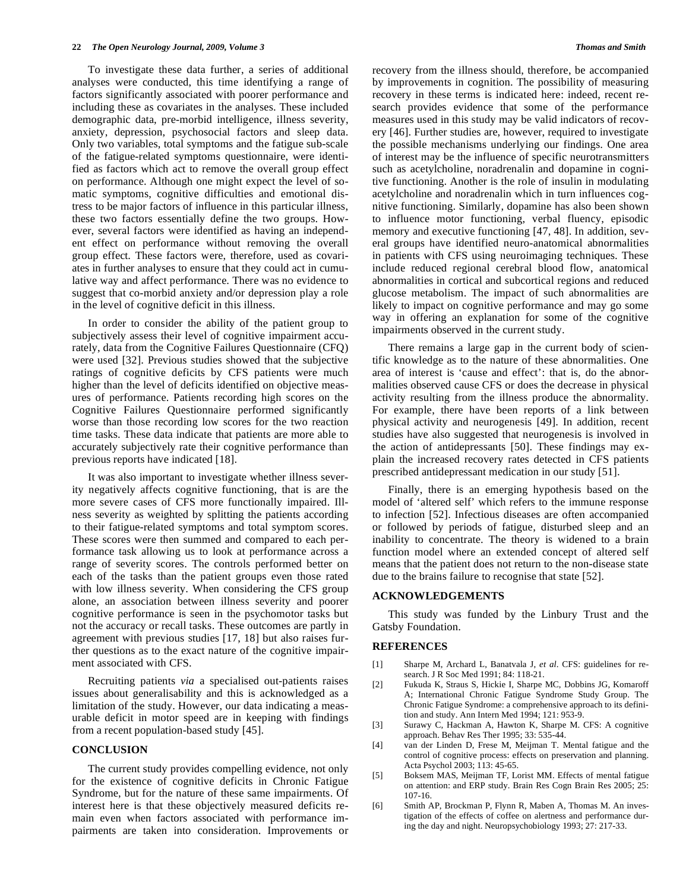To investigate these data further, a series of additional analyses were conducted, this time identifying a range of factors significantly associated with poorer performance and including these as covariates in the analyses. These included demographic data, pre-morbid intelligence, illness severity, anxiety, depression, psychosocial factors and sleep data. Only two variables, total symptoms and the fatigue sub-scale of the fatigue-related symptoms questionnaire, were identified as factors which act to remove the overall group effect on performance. Although one might expect the level of somatic symptoms, cognitive difficulties and emotional distress to be major factors of influence in this particular illness, these two factors essentially define the two groups. However, several factors were identified as having an independent effect on performance without removing the overall group effect. These factors were, therefore, used as covariates in further analyses to ensure that they could act in cumulative way and affect performance. There was no evidence to suggest that co-morbid anxiety and/or depression play a role in the level of cognitive deficit in this illness.

 In order to consider the ability of the patient group to subjectively assess their level of cognitive impairment accurately, data from the Cognitive Failures Questionnaire (CFQ) were used [32]. Previous studies showed that the subjective ratings of cognitive deficits by CFS patients were much higher than the level of deficits identified on objective measures of performance. Patients recording high scores on the Cognitive Failures Questionnaire performed significantly worse than those recording low scores for the two reaction time tasks. These data indicate that patients are more able to accurately subjectively rate their cognitive performance than previous reports have indicated [18].

 It was also important to investigate whether illness severity negatively affects cognitive functioning, that is are the more severe cases of CFS more functionally impaired. Illness severity as weighted by splitting the patients according to their fatigue-related symptoms and total symptom scores. These scores were then summed and compared to each performance task allowing us to look at performance across a range of severity scores. The controls performed better on each of the tasks than the patient groups even those rated with low illness severity. When considering the CFS group alone, an association between illness severity and poorer cognitive performance is seen in the psychomotor tasks but not the accuracy or recall tasks. These outcomes are partly in agreement with previous studies [17, 18] but also raises further questions as to the exact nature of the cognitive impairment associated with CFS.

 Recruiting patients *via* a specialised out-patients raises issues about generalisability and this is acknowledged as a limitation of the study. However, our data indicating a measurable deficit in motor speed are in keeping with findings from a recent population-based study [45].

#### **CONCLUSION**

 The current study provides compelling evidence, not only for the existence of cognitive deficits in Chronic Fatigue Syndrome, but for the nature of these same impairments. Of interest here is that these objectively measured deficits remain even when factors associated with performance impairments are taken into consideration. Improvements or recovery from the illness should, therefore, be accompanied by improvements in cognition. The possibility of measuring recovery in these terms is indicated here: indeed, recent research provides evidence that some of the performance measures used in this study may be valid indicators of recovery [46]. Further studies are, however, required to investigate the possible mechanisms underlying our findings. One area of interest may be the influence of specific neurotransmitters such as acetylcholine, noradrenalin and dopamine in cognitive functioning. Another is the role of insulin in modulating acetylcholine and noradrenalin which in turn influences cognitive functioning. Similarly, dopamine has also been shown to influence motor functioning, verbal fluency, episodic memory and executive functioning [47, 48]. In addition, several groups have identified neuro-anatomical abnormalities in patients with CFS using neuroimaging techniques. These include reduced regional cerebral blood flow, anatomical abnormalities in cortical and subcortical regions and reduced glucose metabolism. The impact of such abnormalities are likely to impact on cognitive performance and may go some way in offering an explanation for some of the cognitive impairments observed in the current study.

 There remains a large gap in the current body of scientific knowledge as to the nature of these abnormalities. One area of interest is 'cause and effect': that is, do the abnormalities observed cause CFS or does the decrease in physical activity resulting from the illness produce the abnormality. For example, there have been reports of a link between physical activity and neurogenesis [49]. In addition, recent studies have also suggested that neurogenesis is involved in the action of antidepressants [50]. These findings may explain the increased recovery rates detected in CFS patients prescribed antidepressant medication in our study [51].

 Finally, there is an emerging hypothesis based on the model of 'altered self' which refers to the immune response to infection [52]. Infectious diseases are often accompanied or followed by periods of fatigue, disturbed sleep and an inability to concentrate. The theory is widened to a brain function model where an extended concept of altered self means that the patient does not return to the non-disease state due to the brains failure to recognise that state [52].

#### **ACKNOWLEDGEMENTS**

 This study was funded by the Linbury Trust and the Gatsby Foundation.

#### **REFERENCES**

- [1] Sharpe M, Archard L, Banatvala J, *et al*. CFS: guidelines for research. J R Soc Med 1991; 84: 118-21.
- [2] Fukuda K, Straus S, Hickie I, Sharpe MC, Dobbins JG, Komaroff A; International Chronic Fatigue Syndrome Study Group. The Chronic Fatigue Syndrome: a comprehensive approach to its definition and study. Ann Intern Med 1994; 121: 953-9.
- [3] Surawy C, Hackman A, Hawton K, Sharpe M. CFS: A cognitive approach. Behav Res Ther 1995; 33: 535-44.
- [4] van der Linden D, Frese M, Meijman T. Mental fatigue and the control of cognitive process: effects on preservation and planning. Acta Psychol 2003; 113: 45-65.
- [5] Boksem MAS, Meijman TF, Lorist MM. Effects of mental fatigue on attention: and ERP study. Brain Res Cogn Brain Res 2005; 25: 107-16.
- [6] Smith AP, Brockman P, Flynn R, Maben A, Thomas M. An investigation of the effects of coffee on alertness and performance during the day and night. Neuropsychobiology 1993; 27: 217-33.